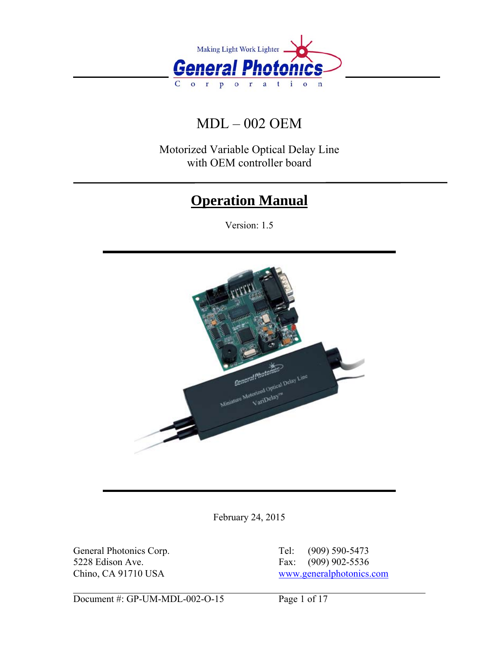

# MDL – 002 OEM

Motorized Variable Optical Delay Line with OEM controller board

# **Operation Manual**

Version: 1.5



February 24, 2015

General Photonics Corp. Tel: (909) 590-5473 5228 Edison Ave. Fax: (909) 902-5536

Chino, CA 91710 USA [www.generalphotonics.com](http://www.generalphotonics.com/)

Document #: GP-UM-MDL-002-O-15 Page 1 of 17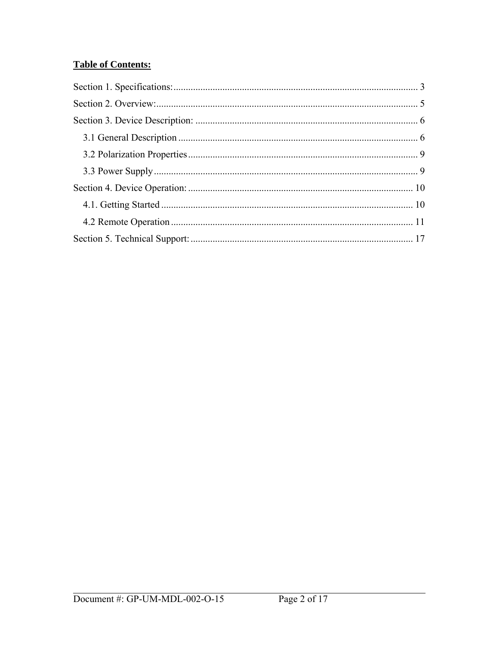# **Table of Contents:**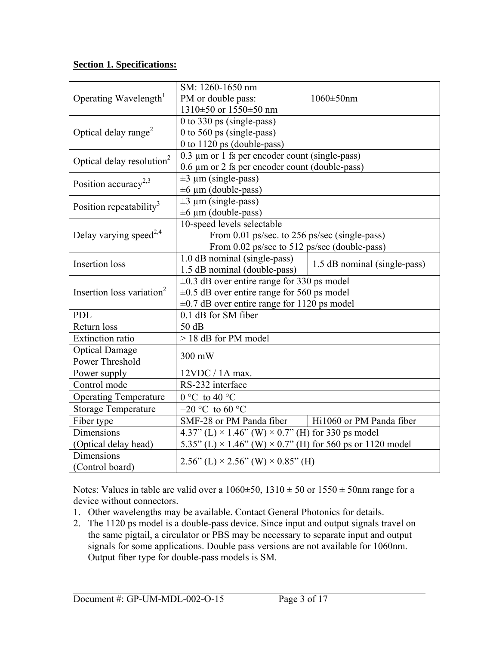# <span id="page-2-0"></span>**Section 1. Specifications:**

| Operating Wavelength <sup>1</sup>        | SM: 1260-1650 nm<br>PM or double pass:<br>1310±50 or 1550±50 nm                                                                                   | $1060 \pm 50$ nm |  |  |
|------------------------------------------|---------------------------------------------------------------------------------------------------------------------------------------------------|------------------|--|--|
| Optical delay range <sup>2</sup>         | 0 to 330 ps (single-pass)<br>0 to 560 ps (single-pass)<br>0 to 1120 ps (double-pass)                                                              |                  |  |  |
| Optical delay resolution <sup>2</sup>    | $0.3 \mu$ m or 1 fs per encoder count (single-pass)<br>0.6 µm or 2 fs per encoder count (double-pass)                                             |                  |  |  |
| Position accuracy <sup>2,3</sup>         | $\pm 3 \mu$ m (single-pass)<br>$\pm 6 \mu$ m (double-pass)                                                                                        |                  |  |  |
| Position repeatability <sup>3</sup>      | $\pm 3 \mu$ m (single-pass)<br>$\pm 6 \mu$ m (double-pass)                                                                                        |                  |  |  |
| Delay varying speed <sup>2,4</sup>       | 10-speed levels selectable<br>From 0.01 ps/sec. to 256 ps/sec (single-pass)<br>From 0.02 ps/sec to 512 ps/sec (double-pass)                       |                  |  |  |
| <b>Insertion</b> loss                    | 1.0 dB nominal (single-pass)<br>1.5 dB nominal (single-pass)<br>1.5 dB nominal (double-pass)                                                      |                  |  |  |
| Insertion loss variation <sup>2</sup>    | $\pm 0.3$ dB over entire range for 330 ps model<br>$\pm 0.5$ dB over entire range for 560 ps model<br>±0.7 dB over entire range for 1120 ps model |                  |  |  |
| <b>PDL</b>                               | 0.1 dB for SM fiber                                                                                                                               |                  |  |  |
| Return loss                              | 50dB                                                                                                                                              |                  |  |  |
| <b>Extinction ratio</b>                  | > 18 dB for PM model                                                                                                                              |                  |  |  |
| <b>Optical Damage</b><br>Power Threshold | 300 mW                                                                                                                                            |                  |  |  |
| Power supply                             | 12VDC / 1A max.                                                                                                                                   |                  |  |  |
| Control mode                             | RS-232 interface                                                                                                                                  |                  |  |  |
| <b>Operating Temperature</b>             | $0 °C$ to 40 °C                                                                                                                                   |                  |  |  |
| <b>Storage Temperature</b>               | $-20$ °C to 60 °C                                                                                                                                 |                  |  |  |
| Fiber type                               | SMF-28 or PM Panda fiber<br>Hi1060 or PM Panda fiber                                                                                              |                  |  |  |
| Dimensions                               | 4.37" (L) $\times$ 1.46" (W) $\times$ 0.7" (H) for 330 ps model                                                                                   |                  |  |  |
| (Optical delay head)                     | 5.35" (L) $\times$ 1.46" (W) $\times$ 0.7" (H) for 560 ps or 1120 model                                                                           |                  |  |  |
| Dimensions<br>(Control board)            | $2.56$ " (L) × 2.56" (W) × 0.85" (H)                                                                                                              |                  |  |  |

Notes: Values in table are valid over a  $1060\pm50$ ,  $1310\pm50$  or  $1550\pm50$  nm range for a device without connectors.

- 1. Other wavelengths may be available. Contact General Photonics for details.
- 2. The 1120 ps model is a double-pass device. Since input and output signals travel on the same pigtail, a circulator or PBS may be necessary to separate input and output signals for some applications. Double pass versions are not available for 1060nm. Output fiber type for double-pass models is SM.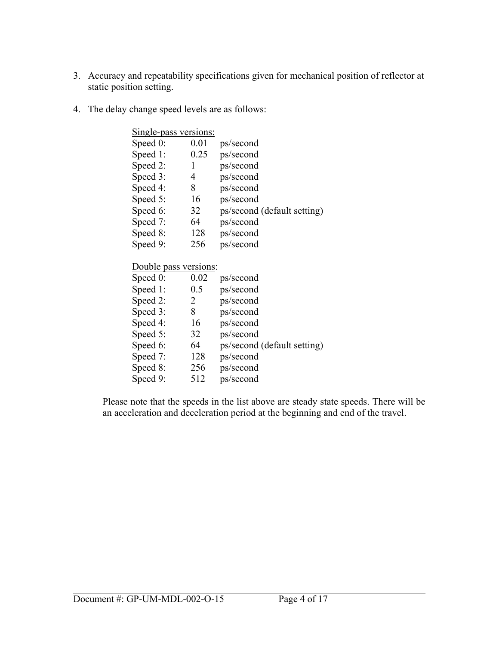- 3. Accuracy and repeatability specifications given for mechanical position of reflector at static position setting.
- 4. The delay change speed levels are as follows:

| Single-pass versions: |      |                             |
|-----------------------|------|-----------------------------|
| Speed $0$ :           | 0.01 | ps/second                   |
| Speed 1:              | 0.25 | ps/second                   |
| Speed 2:              |      | ps/second                   |
| Speed 3:              | 4    | ps/second                   |
| Speed 4:              | 8    | ps/second                   |
| Speed 5:              | 16   | ps/second                   |
| Speed 6:              | 32   | ps/second (default setting) |
| Speed 7:              | 64   | ps/second                   |
| Speed 8:              | 128  | ps/second                   |
| Speed 9:              | 256  | ps/second                   |

# Double pass versions:

| Speed $0$ : | 0.02 | ps/second                   |
|-------------|------|-----------------------------|
|             |      |                             |
| Speed 1:    | 0.5  | ps/second                   |
| Speed 2:    | 2    | ps/second                   |
| Speed 3:    | 8    | ps/second                   |
| Speed 4:    | 16   | ps/second                   |
| Speed 5:    | 32   | ps/second                   |
| Speed 6:    | 64   | ps/second (default setting) |
| Speed 7:    | 128  | ps/second                   |
| Speed 8:    | 256  | ps/second                   |
| Speed 9:    | 512  | ps/second                   |
|             |      |                             |

Please note that the speeds in the list above are steady state speeds. There will be an acceleration and deceleration period at the beginning and end of the travel.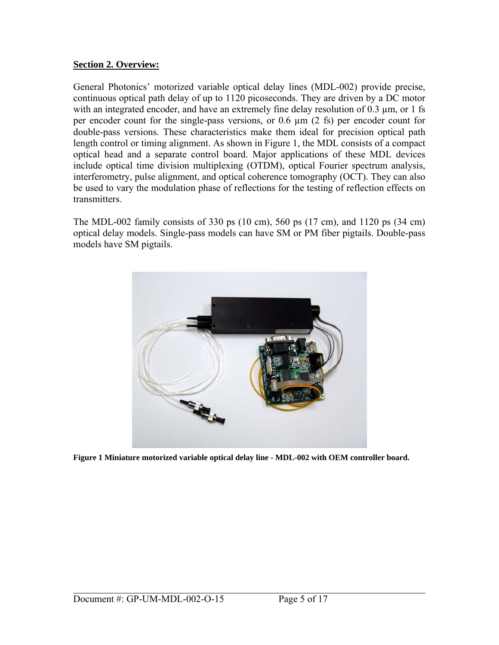#### <span id="page-4-0"></span>**Section 2. Overview:**

General Photonics' motorized variable optical delay lines (MDL-002) provide precise, continuous optical path delay of up to 1120 picoseconds. They are driven by a DC motor with an integrated encoder, and have an extremely fine delay resolution of  $0.3 \mu m$ , or 1 fs per encoder count for the single-pass versions, or 0.6 µm (2 fs) per encoder count for double-pass versions. These characteristics make them ideal for precision optical path length control or timing alignment. As shown in [Figure 1](#page-4-1), the MDL consists of a compact optical head and a separate control board. Major applications of these MDL devices include optical time division multiplexing (OTDM), optical Fourier spectrum analysis, interferometry, pulse alignment, and optical coherence tomography (OCT). They can also be used to vary the modulation phase of reflections for the testing of reflection effects on transmitters.

The MDL-002 family consists of 330 ps (10 cm), 560 ps (17 cm), and 1120 ps (34 cm) optical delay models. Single-pass models can have SM or PM fiber pigtails. Double-pass models have SM pigtails.

<span id="page-4-1"></span>

**Figure 1 Miniature motorized variable optical delay line - MDL-002 with OEM controller board.**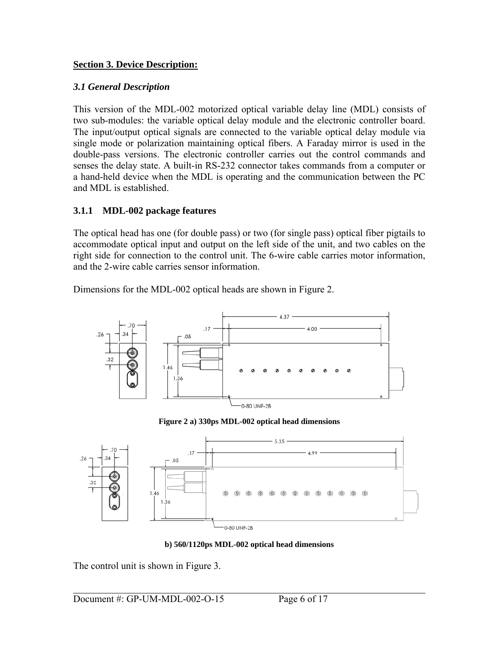## <span id="page-5-0"></span>**Section 3. Device Description:**

#### *3.1 General Description*

This version of the MDL-002 motorized optical variable delay line (MDL) consists of two sub-modules: the variable optical delay module and the electronic controller board. The input/output optical signals are connected to the variable optical delay module via single mode or polarization maintaining optical fibers. A Faraday mirror is used in the double-pass versions. The electronic controller carries out the control commands and senses the delay state. A built-in RS-232 connector takes commands from a computer or a hand-held device when the MDL is operating and the communication between the PC and MDL is established.

## **3.1.1 MDL-002 package features**

The optical head has one (for double pass) or two (for single pass) optical fiber pigtails to accommodate optical input and output on the left side of the unit, and two cables on the right side for connection to the control unit. The 6-wire cable carries motor information, and the 2-wire cable carries sensor information.

Dimensions for the MDL-002 optical heads are shown in [Figure 2](#page-5-1).



**Figure 2 a) 330ps MDL-002 optical head dimensions** 

<span id="page-5-1"></span>

**b) 560/1120ps MDL-002 optical head dimensions** 

The control unit is shown in [Figure 3](#page-6-0).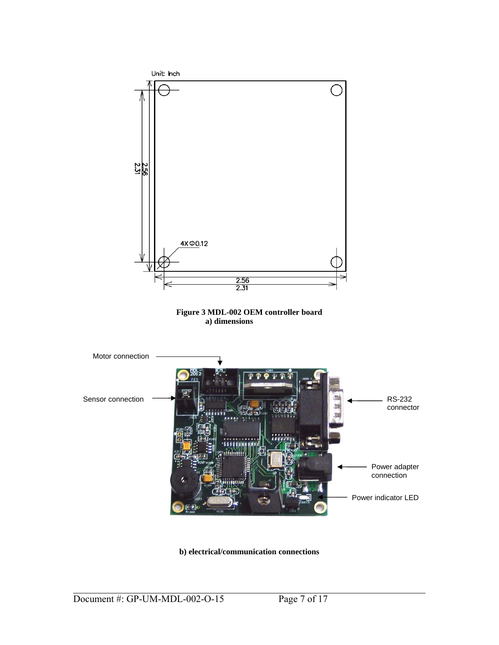<span id="page-6-0"></span>

**b) electrical/communication connections**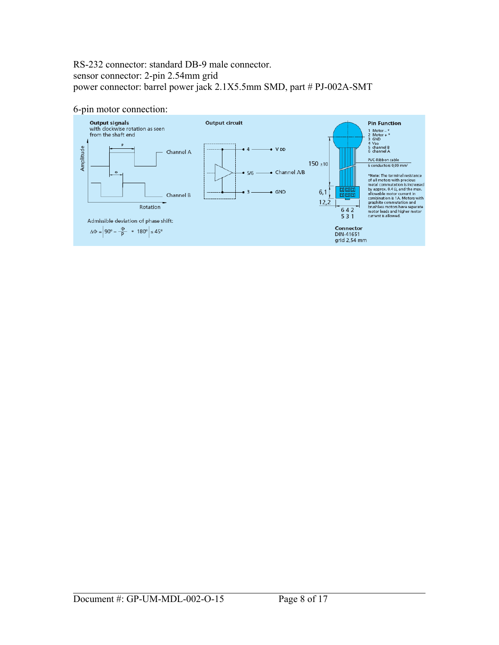#### RS-232 connector: standard DB-9 male connector. sensor connector: 2-pin 2.54mm grid power connector: barrel power jack 2.1X5.5mm SMD, part # PJ-002A-SMT

#### 6-pin motor connection:

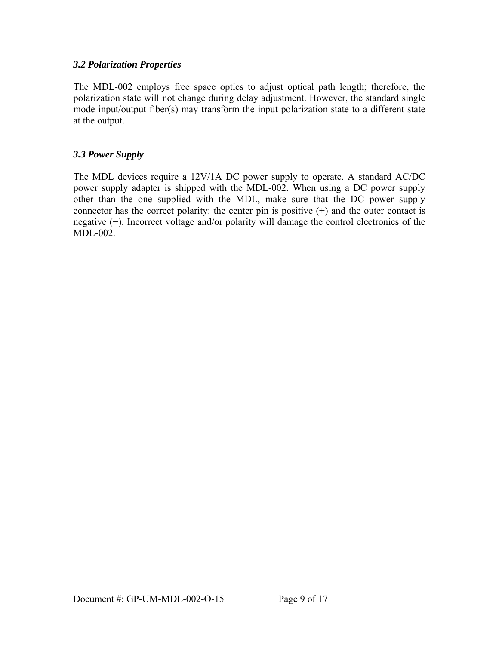#### <span id="page-8-0"></span>*3.2 Polarization Properties*

The MDL-002 employs free space optics to adjust optical path length; therefore, the polarization state will not change during delay adjustment. However, the standard single mode input/output fiber(s) may transform the input polarization state to a different state at the output.

## *3.3 Power Supply*

The MDL devices require a 12V/1A DC power supply to operate. A standard AC/DC power supply adapter is shipped with the MDL-002. When using a DC power supply other than the one supplied with the MDL, make sure that the DC power supply connector has the correct polarity: the center pin is positive  $(+)$  and the outer contact is negative (−). Incorrect voltage and/or polarity will damage the control electronics of the MDL-002.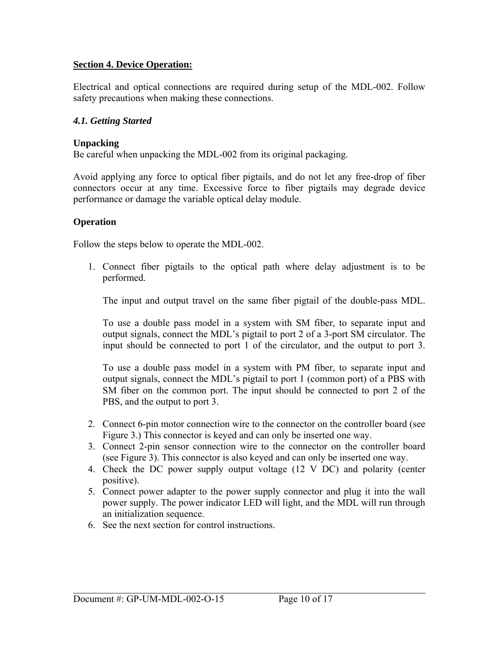#### <span id="page-9-0"></span>**Section 4. Device Operation:**

Electrical and optical connections are required during setup of the MDL-002. Follow safety precautions when making these connections.

#### *4.1. Getting Started*

#### **Unpacking**

Be careful when unpacking the MDL-002 from its original packaging.

Avoid applying any force to optical fiber pigtails, and do not let any free-drop of fiber connectors occur at any time. Excessive force to fiber pigtails may degrade device performance or damage the variable optical delay module.

#### **Operation**

Follow the steps below to operate the MDL-002.

1. Connect fiber pigtails to the optical path where delay adjustment is to be performed.

The input and output travel on the same fiber pigtail of the double-pass MDL.

To use a double pass model in a system with SM fiber, to separate input and output signals, connect the MDL's pigtail to port 2 of a 3-port SM circulator. The input should be connected to port 1 of the circulator, and the output to port 3.

To use a double pass model in a system with PM fiber, to separate input and output signals, connect the MDL's pigtail to port 1 (common port) of a PBS with SM fiber on the common port. The input should be connected to port 2 of the PBS, and the output to port 3.

- 2. Connect 6-pin motor connection wire to the connector on the controller board (see [Figure 3](#page-6-0).) This connector is keyed and can only be inserted one way.
- 3. Connect 2-pin sensor connection wire to the connector on the controller board (see [Figure 3\)](#page-6-0). This connector is also keyed and can only be inserted one way.
- 4. Check the DC power supply output voltage (12 V DC) and polarity (center positive).
- 5. Connect power adapter to the power supply connector and plug it into the wall power supply. The power indicator LED will light, and the MDL will run through an initialization sequence.
- 6. See the next section for control instructions.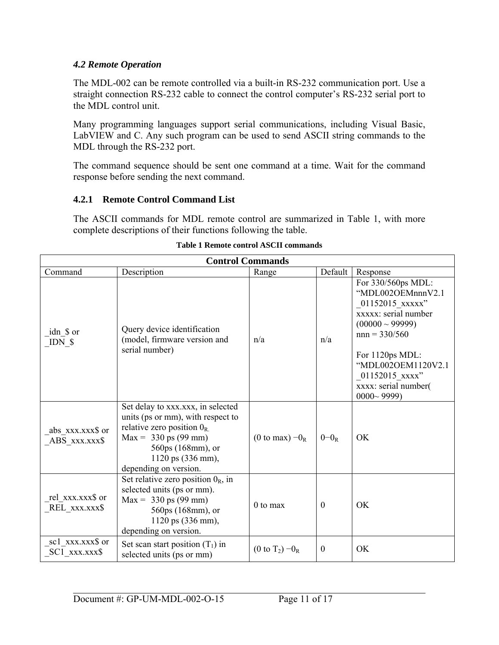## <span id="page-10-0"></span>*4.2 Remote Operation*

The MDL-002 can be remote controlled via a built-in RS-232 communication port. Use a straight connection RS-232 cable to connect the control computer's RS-232 serial port to the MDL control unit.

Many programming languages support serial communications, including Visual Basic, LabVIEW and C. Any such program can be used to send ASCII string commands to the MDL through the RS-232 port.

The command sequence should be sent one command at a time. Wait for the command response before sending the next command.

# **4.2.1 Remote Control Command List**

The ASCII commands for MDL remote control are summarized in [Table 1](#page-10-1), with more complete descriptions of their functions following the table.

<span id="page-10-1"></span>

| <b>Control Commands</b>                                                                                                                                                                                                |                                                                                                                                                                                                                          |                      |          |                                                                                                                                                                                                                                   |  |
|------------------------------------------------------------------------------------------------------------------------------------------------------------------------------------------------------------------------|--------------------------------------------------------------------------------------------------------------------------------------------------------------------------------------------------------------------------|----------------------|----------|-----------------------------------------------------------------------------------------------------------------------------------------------------------------------------------------------------------------------------------|--|
| Command                                                                                                                                                                                                                | Description                                                                                                                                                                                                              | Range                | Default  | Response                                                                                                                                                                                                                          |  |
| idn \$ or<br>IDN \$                                                                                                                                                                                                    | Query device identification<br>(model, firmware version and<br>serial number)                                                                                                                                            | n/a                  | n/a      | For 330/560ps MDL:<br>"MDL002OEMnnnV2.1<br>01152015 xxxxx"<br>xxxxx: serial number<br>$(00000 \sim 99999)$<br>$nnn = 330/560$<br>For 1120ps MDL:<br>"MDL002OEM1120V2.1<br>01152015 xxxx"<br>xxxx: serial number(<br>$0000 - 9999$ |  |
| abs xxx.xxx\$ or<br>ABS_xxx.xxx\$                                                                                                                                                                                      | Set delay to xxx.xxx, in selected<br>units (ps or mm), with respect to<br>relative zero position $0_{R}$ .<br>$Max = 330 \text{ ps } (99 \text{ mm})$<br>560ps (168mm), or<br>1120 ps (336 mm),<br>depending on version. | (0 to max) $-0_R$    | $0-0_R$  | OK                                                                                                                                                                                                                                |  |
| Set relative zero position $0_R$ , in<br>selected units (ps or mm).<br>rel xxx.xxx\$ or<br>$Max = 330 \text{ ps } (99 \text{ mm})$<br>REL_xxx.xxx\$<br>560ps (168mm), or<br>1120 ps (336 mm),<br>depending on version. |                                                                                                                                                                                                                          | $0$ to max           | $\theta$ | OK                                                                                                                                                                                                                                |  |
| sc1 xxx.xxx\$ or<br>SC1 xxx.xxx\$                                                                                                                                                                                      | Set scan start position $(T_1)$ in<br>selected units (ps or mm)                                                                                                                                                          | (0 to $T_2$ ) $-0_R$ | $\theta$ | OK                                                                                                                                                                                                                                |  |

|  |  | Table 1 Remote control ASCII commands |
|--|--|---------------------------------------|
|  |  |                                       |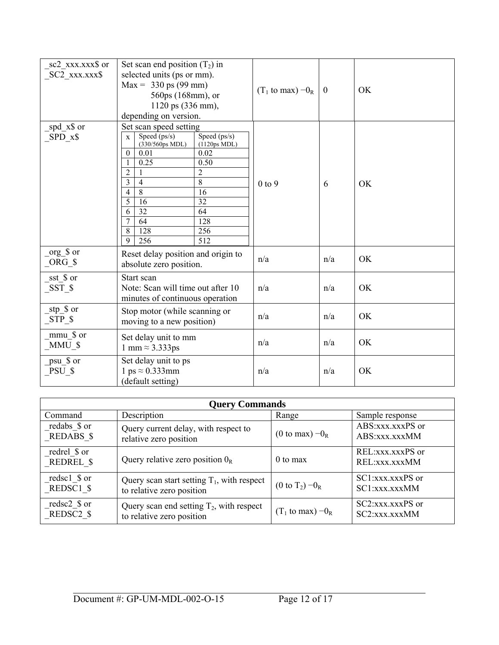| sc2_xxx.xxx\$ or<br>SC2 xxx.xxx\$ | Set scan end position $(T_2)$ in<br>selected units (ps or mm).<br>$Max = 330 \text{ ps } (99 \text{ mm})$<br>560ps (168mm), or<br>1120 ps (336 mm),<br>depending on version.                                                                                                                                                                 | $(T_1 \text{ to } \text{max}) - 0_R$ | $\boldsymbol{0}$ | OK        |
|-----------------------------------|----------------------------------------------------------------------------------------------------------------------------------------------------------------------------------------------------------------------------------------------------------------------------------------------------------------------------------------------|--------------------------------------|------------------|-----------|
| _spd_x\$ or<br>$SPD_x$ \$         | Set scan speed setting<br>Speed (ps/s)<br>Speed (ps/s)<br>$\mathbf{X}$<br>(330/560ps MDL)<br>(1120ps MDL)<br>0.02<br>$\theta$<br>0.01<br>0.25<br>0.50<br>$\overline{2}$<br>2<br>3<br>$\overline{8}$<br>$\overline{4}$<br>8<br>$\overline{4}$<br>16<br>5<br>32<br>16<br>32<br>64<br>6<br>7<br>64<br>128<br>8<br>128<br>256<br>9<br>512<br>256 | $0$ to $9$                           | 6                | <b>OK</b> |
| $org_S or$<br>$ORG_S$             | Reset delay position and origin to<br>absolute zero position.                                                                                                                                                                                                                                                                                | n/a                                  | n/a              | <b>OK</b> |
| $_sst$ or<br>$SST_S$              | Start scan<br>Note: Scan will time out after 10<br>minutes of continuous operation                                                                                                                                                                                                                                                           | n/a                                  | n/a              | OK        |
| _stp_\$ or<br>$STP_S$             | Stop motor (while scanning or<br>moving to a new position)                                                                                                                                                                                                                                                                                   | n/a                                  | n/a              | OK        |
| mmu \$ or<br>$_MMU$ \$            | Set delay unit to mm<br>1 mm $\approx$ 3.333ps                                                                                                                                                                                                                                                                                               | n/a                                  | n/a              | OK        |
| psu_\$ or<br>$PSU_S$              | Set delay unit to ps<br>1 ps $\approx 0.333$ mm<br>(default setting)                                                                                                                                                                                                                                                                         | n/a                                  | n/a              | OK        |

| <b>Query Commands</b>     |                                               |                                     |                                     |  |  |
|---------------------------|-----------------------------------------------|-------------------------------------|-------------------------------------|--|--|
| Command                   | Description<br>Range<br>Sample response       |                                     |                                     |  |  |
| redabs \$ or              | Query current delay, with respect to          | (0 to max) $-0_R$                   | ABS:xxx.xxxPS or                    |  |  |
| <b>REDABS \$</b>          | relative zero position                        |                                     | ABS:xxx.xxxMM                       |  |  |
| redrel \$ or<br>REDREL \$ | Query relative zero position $0_R$            | $0$ to max                          | REL:xxx.xxxPS or<br>REL: XXX. XXXMM |  |  |
| redsc1 \$ or              | Query scan start setting $T_1$ , with respect | (0 to $T_2$ ) $-0_R$                | $SC1:xxxx.xxxPS$ or                 |  |  |
| REDSC1 \$                 | to relative zero position                     |                                     | SC1:xxx.xxxMM                       |  |  |
| redsc2 \$ or              | Query scan end setting $T_2$ , with respect   | $(T_1 \text{ to } \text{max}) -0_R$ | SC2:xxx.xxxPS or                    |  |  |
| REDSC2 \$                 | to relative zero position                     |                                     | SC2:xxx.xxxMM                       |  |  |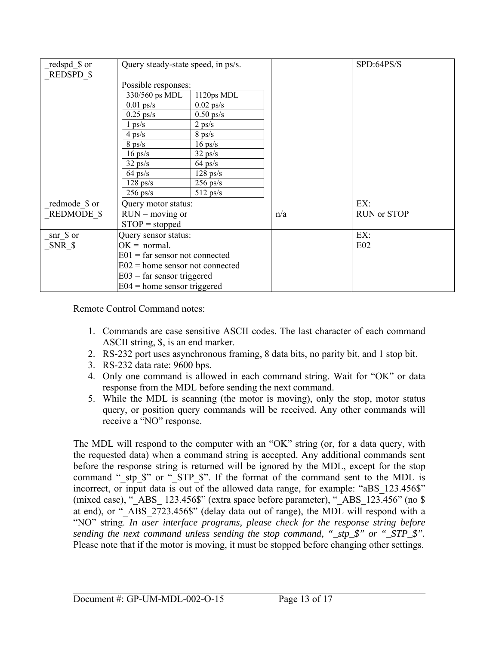| redspd \$ or  | Query steady-state speed, in ps/s. |             |     | SPD:64PS/S         |
|---------------|------------------------------------|-------------|-----|--------------------|
| REDSPD \$     |                                    |             |     |                    |
|               | Possible responses:                |             |     |                    |
|               | 330/560 ps MDL                     | 1120ps MDL  |     |                    |
|               | $0.01$ ps/s                        | $0.02$ ps/s |     |                    |
|               | $0.25$ ps/s                        | $0.50$ ps/s |     |                    |
|               | $1 \text{ ps/s}$                   | $2$ ps/s    |     |                    |
|               | $4$ ps/s                           | $8$ ps/s    |     |                    |
|               | $8$ ps/s                           | $16$ ps/s   |     |                    |
|               | $16$ ps/s                          | $32$ ps/s   |     |                    |
|               | $32$ ps/s                          | $64$ ps/s   |     |                    |
|               | $64$ ps/s                          | $128$ ps/s  |     |                    |
|               | $128$ ps/s                         | $256$ ps/s  |     |                    |
|               | $256$ ps/s                         | $512$ ps/s  |     |                    |
| redmode \$ or | Query motor status:                |             |     | EX:                |
| REDMODE \$    | $RUN = moving or$                  |             | n/a | <b>RUN or STOP</b> |
|               | $STOP = stopped$                   |             |     |                    |
| snr \$ or     | Query sensor status:               |             |     | EX:                |
| SNR \$        | $OK = normal$ .                    |             |     | E02                |
|               | $E01$ = far sensor not connected   |             |     |                    |
|               | $E02$ = home sensor not connected  |             |     |                    |
|               | $E03$ = far sensor triggered       |             |     |                    |
|               | $E04$ = home sensor triggered      |             |     |                    |

Remote Control Command notes:

- 1. Commands are case sensitive ASCII codes. The last character of each command ASCII string, \$, is an end marker.
- 2. RS-232 port uses asynchronous framing, 8 data bits, no parity bit, and 1 stop bit.
- 3. RS-232 data rate: 9600 bps.
- 4. Only one command is allowed in each command string. Wait for "OK" or data response from the MDL before sending the next command.
- 5. While the MDL is scanning (the motor is moving), only the stop, motor status query, or position query commands will be received. Any other commands will receive a "NO" response.

The MDL will respond to the computer with an "OK" string (or, for a data query, with the requested data) when a command string is accepted. Any additional commands sent before the response string is returned will be ignored by the MDL, except for the stop command " stp \$" or " STP \$". If the format of the command sent to the MDL is incorrect, or input data is out of the allowed data range, for example: "aBS 123.456\$" (mixed case), " $\overline{ABS}$  123.456\$" (extra space before parameter), " $\overline{ABS}$  123.456" (no \$ at end), or "\_ABS\_2723.456\$" (delay data out of range), the MDL will respond with a "NO" string. *In user interface programs, please check for the response string before sending the next command unless sending the stop command, " stp \$" or " STP \$".* Please note that if the motor is moving, it must be stopped before changing other settings.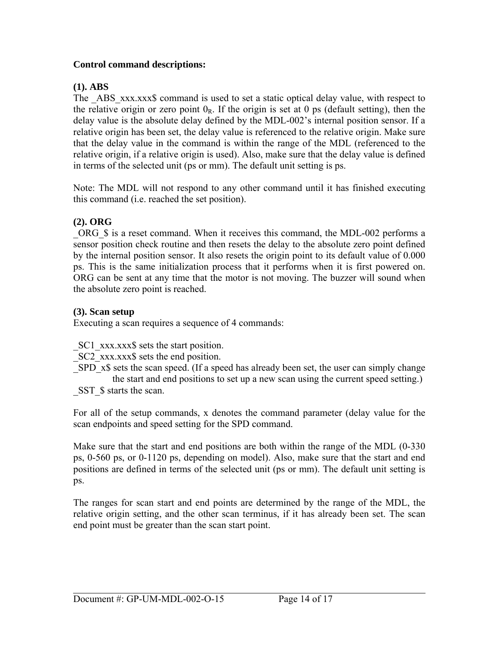## **Control command descriptions:**

#### **(1). ABS**

The ABS xxx.xxx\$ command is used to set a static optical delay value, with respect to the relative origin or zero point  $0_R$ . If the origin is set at 0 ps (default setting), then the delay value is the absolute delay defined by the MDL-002's internal position sensor. If a relative origin has been set, the delay value is referenced to the relative origin. Make sure that the delay value in the command is within the range of the MDL (referenced to the relative origin, if a relative origin is used). Also, make sure that the delay value is defined in terms of the selected unit (ps or mm). The default unit setting is ps.

Note: The MDL will not respond to any other command until it has finished executing this command (i.e. reached the set position).

## **(2). ORG**

ORG \\$ is a reset command. When it receives this command, the MDL-002 performs a sensor position check routine and then resets the delay to the absolute zero point defined by the internal position sensor. It also resets the origin point to its default value of 0.000 ps. This is the same initialization process that it performs when it is first powered on. ORG can be sent at any time that the motor is not moving. The buzzer will sound when the absolute zero point is reached.

#### **(3). Scan setup**

Executing a scan requires a sequence of 4 commands:

SC1 xxx.xxx\$ sets the start position.

\_SC2\_xxx.xxx\$ sets the end position.

- SPD x\$ sets the scan speed. (If a speed has already been set, the user can simply change the start and end positions to set up a new scan using the current speed setting.)
- SST  $\$$  starts the scan.

For all of the setup commands, x denotes the command parameter (delay value for the scan endpoints and speed setting for the SPD command.

Make sure that the start and end positions are both within the range of the MDL (0-330 ps, 0-560 ps, or 0-1120 ps, depending on model). Also, make sure that the start and end positions are defined in terms of the selected unit (ps or mm). The default unit setting is ps.

The ranges for scan start and end points are determined by the range of the MDL, the relative origin setting, and the other scan terminus, if it has already been set. The scan end point must be greater than the scan start point.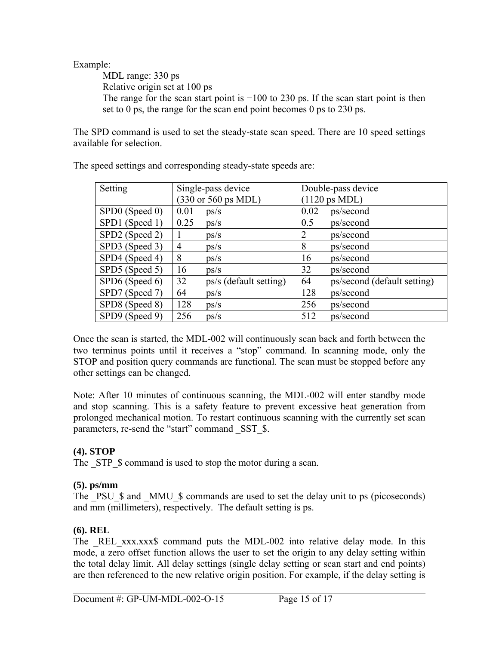# Example:

MDL range: 330 ps Relative origin set at 100 ps The range for the scan start point is  $-100$  to 230 ps. If the scan start point is then set to 0 ps, the range for the scan end point becomes 0 ps to 230 ps.

The SPD command is used to set the steady-state scan speed. There are 10 speed settings available for selection.

| Setting        | Single-pass device           | Double-pass device                |  |  |
|----------------|------------------------------|-----------------------------------|--|--|
|                | (330 or 560 ps MDL)          | $(1120 \text{ ps MDL})$           |  |  |
| SPD0 (Speed 0) | 0.01<br>ps/s                 | 0.02<br>ps/second                 |  |  |
| SPD1 (Speed 1) | 0.25<br>ps/s                 | 0.5<br>ps/second                  |  |  |
| SPD2 (Speed 2) | ps/s<br>1                    | 2<br>ps/second                    |  |  |
| SPD3 (Speed 3) | 4<br>ps/s                    | 8<br>ps/second                    |  |  |
| SPD4 (Speed 4) | 8<br>ps/s                    | 16<br>ps/second                   |  |  |
| SPD5 (Speed 5) | 16<br>ps/s                   | 32<br>ps/second                   |  |  |
| SPD6 (Speed 6) | 32<br>ps/s (default setting) | ps/second (default setting)<br>64 |  |  |
| SPD7 (Speed 7) | 64<br>ps/s                   | 128<br>ps/second                  |  |  |
| SPD8 (Speed 8) | 128<br>ps/s                  | 256<br>ps/second                  |  |  |
| SPD9 (Speed 9) | 256<br>ps/s                  | 512<br>ps/second                  |  |  |

The speed settings and corresponding steady-state speeds are:

Once the scan is started, the MDL-002 will continuously scan back and forth between the two terminus points until it receives a "stop" command. In scanning mode, only the STOP and position query commands are functional. The scan must be stopped before any other settings can be changed.

Note: After 10 minutes of continuous scanning, the MDL-002 will enter standby mode and stop scanning. This is a safety feature to prevent excessive heat generation from prolonged mechanical motion. To restart continuous scanning with the currently set scan parameters, re-send the "start" command SST \$.

# **(4). STOP**

The STP \$ command is used to stop the motor during a scan.

# **(5). ps/mm**

The PSU \\$ and \_MMU\_\$ commands are used to set the delay unit to ps (picoseconds) and mm (millimeters), respectively. The default setting is ps.

# **(6). REL**

The REL xxx.xxx\$ command puts the MDL-002 into relative delay mode. In this mode, a zero offset function allows the user to set the origin to any delay setting within the total delay limit. All delay settings (single delay setting or scan start and end points) are then referenced to the new relative origin position. For example, if the delay setting is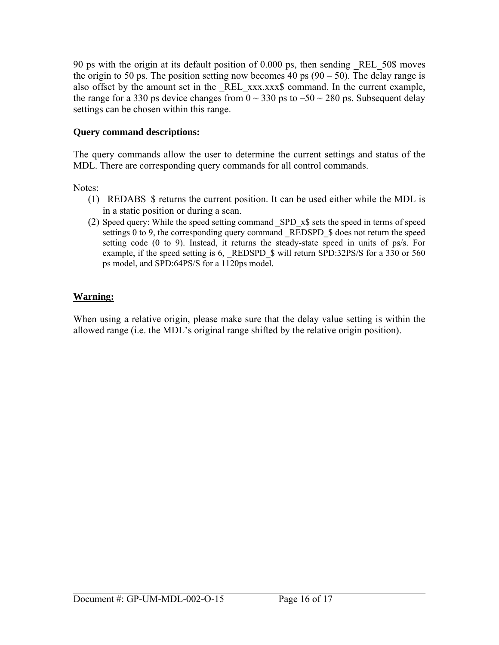90 ps with the origin at its default position of 0.000 ps, then sending \_REL\_50\$ moves the origin to 50 ps. The position setting now becomes 40 ps  $(90 - 50)$ . The delay range is also offset by the amount set in the REL xxx.xxx\$ command. In the current example, the range for a 330 ps device changes from  $0 \sim 330$  ps to  $-50 \sim 280$  ps. Subsequent delay settings can be chosen within this range.

# **Query command descriptions:**

The query commands allow the user to determine the current settings and status of the MDL. There are corresponding query commands for all control commands.

Notes:

- (1) \_REDABS\_\$ returns the current position. It can be used either while the MDL is in a static position or during a scan.
- (2) Speed query: While the speed setting command \_SPD\_x\$ sets the speed in terms of speed settings 0 to 9, the corresponding query command REDSPD \$ does not return the speed setting code (0 to 9). Instead, it returns the steady-state speed in units of ps/s. For example, if the speed setting is 6, REDSPD \$ will return SPD:32PS/S for a 330 or 560 ps model, and SPD:64PS/S for a 1120ps model.

# **Warning:**

When using a relative origin, please make sure that the delay value setting is within the allowed range (i.e. the MDL's original range shifted by the relative origin position).